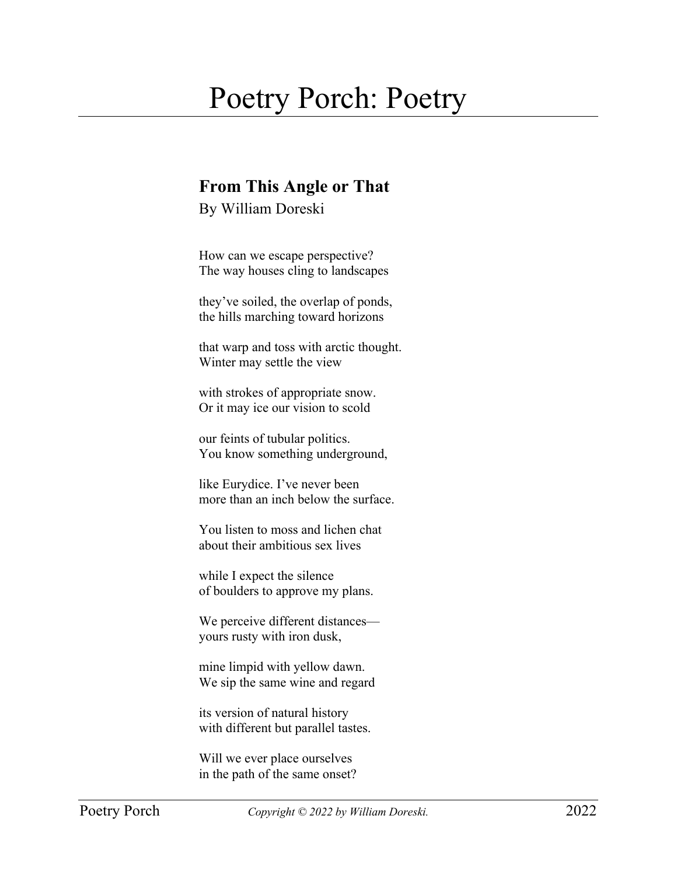## Poetry Porch: Poetry

## **From This Angle or That**

By William Doreski

How can we escape perspective? The way houses cling to landscapes

they've soiled, the overlap of ponds, the hills marching toward horizons

that warp and toss with arctic thought. Winter may settle the view

with strokes of appropriate snow. Or it may ice our vision to scold

our feints of tubular politics. You know something underground,

like Eurydice. I've never been more than an inch below the surface.

You listen to moss and lichen chat about their ambitious sex lives

while I expect the silence of boulders to approve my plans.

We perceive different distances yours rusty with iron dusk,

mine limpid with yellow dawn. We sip the same wine and regard

its version of natural history with different but parallel tastes.

Will we ever place ourselves in the path of the same onset?